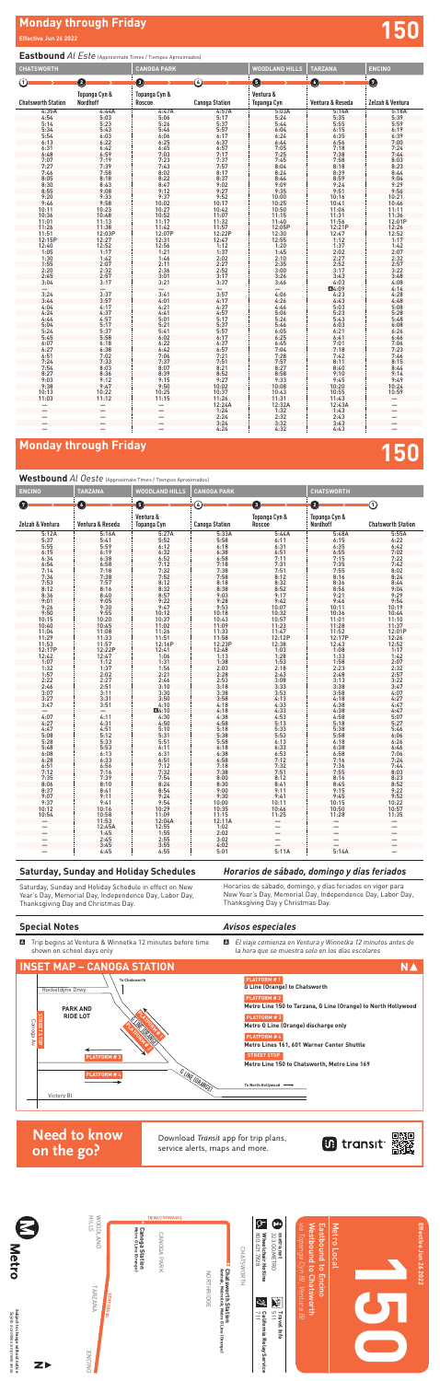## **Monday through Friday 150**

### **Special Notes**

A Trip begins at Ventura & Winnetka 12 minutes before time shown on school days only

 $\blacksquare$  El viaje comienza en Ventura y Winnetka 12 minutos antes de *la hora que se muestra solo en los días escolares*

#### *Avisos especiales*

# **Monday through Friday and Security Conduct of the Security Conduct of the Security Conduct of the Security Conduct of the Security Conduct of the Security Conduct of the Security Conduct of the Security Conduct of the Sec**

### **Eastbound** *Al Este* (Approximate Times / Tiempos Aproximados)

Horarios de sábado, domingo, y días feriados en vigor para New Year's Day, Memorial Day, Independence Day, Labor Day, Horarios de sábado, domingo, y días fer<br>New Year's Day, Memorial Day, Indepen<br>Thanksgiving Day y Christmas Day*.* 

**Westbound** *Al Oeste* (Approximate Times / Tiempos Aproximados)

| <b>CHATSWORTH</b>         |                                                       | <b>CANOGA PARK</b>                 |                       | WOODLAND HILLS           | <b>TARZANA</b>   | <b>ENCINO</b>            |
|---------------------------|-------------------------------------------------------|------------------------------------|-----------------------|--------------------------|------------------|--------------------------|
| ന                         | Ø                                                     | 0                                  | G)                    | 0                        | O                | 0                        |
| <b>Chatsworth Station</b> | Topanga Cyn &<br>Nordhoff                             | <b>Topanga Cyn &amp;</b><br>Roscoe | <b>Canoga Station</b> | Ventura &<br>Topanga Cyn | Ventura & Reseda | Zelzah & Ventura         |
| 4:35A                     | 4:44A                                                 | 4:47A                              | 4:57A                 | 5:03A                    | 5:14A            | 5:18A                    |
| 4:54                      | 5:03                                                  | 5:06                               | 5:17                  | 5:24                     | 5:35             | 5:39                     |
| 5:14                      | 5:23                                                  | 5:26                               | $5:37$<br>$5:57$      | 5:44                     | 5:55             | 5:59                     |
| 5:34                      | 5:43                                                  | 5:46                               |                       | 6:04                     | 6:15             | 6:19                     |
| 5:54                      | 6:03                                                  | 6:06                               | 6:17                  | 6:24                     | 6:35             | $6:39$<br>$7:00$         |
| 6:13                      | 6:22                                                  | 6:25                               | 6:37                  | 6:44                     | 6:56             |                          |
| 6:31                      | 6:42                                                  | 6:45                               | 6:57                  | 7:05                     | 7:18             | 7:24                     |
| 6:48                      | 6:59                                                  | 7:03                               | 7:17                  | 7:25                     | 7:38             | 7:44                     |
| 7:07                      | 7:19                                                  | 7:23                               | 7:37                  | 7:45                     | 7:58             | 8:03                     |
| 7:27                      | 7:39                                                  | 7:43                               | 7:57                  | 8:04                     | 8:18             | 8:23                     |
| 7:46                      | 7:58                                                  | 8:02                               | 8:17                  | 8:24                     | 8:39             | 8:44                     |
| 8:05                      | 8:18                                                  | 8:22                               | 8:37                  | 8:44                     | 8:59             | 9:04                     |
| 8:30                      | 8:43                                                  | 8:47                               | 9:02                  | 9:09                     | 9:24             | 9:29                     |
| 8:55                      | 9:08                                                  | 9:12                               | 9:27                  | 9:35                     | 9:51             | 9:56                     |
| 9:20                      | 9:33                                                  | 9:37                               | 9:52                  | 10:00                    | 10:16            | 10:21                    |
| 9:46                      | 9:58                                                  | 10:02                              | 10:17                 | 10:25                    | 10:41            | 10:46                    |
| 10:11                     | 10:23                                                 | 10:27                              | 10:42                 | 10:50                    | 11:06            | 11:11                    |
| 10:36                     | 10:48                                                 | 10:52                              | $11:07$<br>$11:32$    | 11:15                    | 11:31            | 11:36                    |
| 11:01                     | 11:13                                                 | 11:17                              |                       | 11:40                    | 11:56            | 12:01P                   |
| 11:26                     | 11:38                                                 | 11:42                              |                       |                          |                  |                          |
|                           | 12:03P                                                | 12:07P                             | 11:57<br>12:22P       | 12:05P<br>12:30          | 12:21P<br>12:47  | 12:26<br>12:52           |
| $11:51$<br>$12:15P$       |                                                       |                                    | 12:47                 | 12:55                    | 1:12             | 1:17                     |
|                           |                                                       | 12:31<br>12:56                     | 1:12                  | 1:20                     |                  | 1:42                     |
| 12:40<br>1:05             | $\begin{array}{c} 12:27 \\ 12:52 \\ 1:17 \end{array}$ | 1:21                               | 1:37                  | 1:45                     | $1:37$<br>$2:02$ | 2:07                     |
| 1:30                      | 1:42                                                  | 1:46                               | 2:02                  | 2:10                     | 2:27             | 2:32                     |
| 1:55                      | 2:07                                                  | 2:11                               |                       | 2:35                     | 2:52             | 2:57                     |
| 2:20                      | 2:32                                                  | 2:36                               | $2:27$<br>$2:52$      | 3:00                     | 3:17             | 3:22                     |
| 2:45                      | 2:57                                                  | 3:01                               | 3:17                  | 3:26                     | 3:43             | 3:48                     |
| 3:04                      | 3:17                                                  | 3:21                               | 3:37                  | 3:46                     | 4:03             | 4:08                     |
|                           |                                                       |                                    |                       |                          | A4:09            | 4:14                     |
| 3:24                      | 3:37                                                  | 3:41                               | 3:57                  | 4:06                     | 4:23             | 4:28                     |
| 3:44                      | 3:57                                                  | 4:01                               | 4:17                  | 4:26                     | 4:43             | 4:48                     |
| 4:04                      | 4:17                                                  | 4:21                               | 4:37                  | 4:46                     | 5:03             | 5:08                     |
| 4:24                      | 4:37                                                  | 4:41                               | 4:57                  | 5:06                     | 5:23             | 5:28                     |
| 4:44                      |                                                       | 5:01                               |                       | 5:26                     |                  | 5:48                     |
| 5:04                      | $4:57$<br>$5:17$                                      | 5:21                               | $5:17$<br>$5:37$      | 5:46                     | $5:43$<br>$6:03$ | 6:08                     |
| 5:24                      | 5:37                                                  | 5:41                               | 5:57                  | 6:05                     | 6:21             | 6:26                     |
| 5:45                      | 5:58                                                  | 6:02                               | 6:17                  | 6:25                     | 6:41             | 6:46                     |
| 6:07                      | 6:18                                                  | 6:22                               |                       | 6:45                     |                  |                          |
| 6:27                      | 6:38                                                  | 6:42                               | $6:37$<br>$6:57$      | 7:04                     | $7:01$<br>$7:18$ | $7:06$<br>$7:23$         |
|                           |                                                       |                                    |                       |                          |                  |                          |
| $6:51$<br>$7:24$          | 7:02<br>7:33                                          | 7:06<br>7:37                       | $7:21$<br>$7:51$      | $7:28$<br>$7:57$         | $7:42$<br>8:11   | $7:46$<br>8:15           |
| 7:54                      | 8:03                                                  | 8:07                               | 8:21                  | 8:27                     | 8:40             | 8:44                     |
| 8:27                      | 8:36                                                  | 8:39                               | 8:52                  | 8:58                     | 9:10             | 9:14                     |
| 9:03                      | 9:12                                                  | 9:15                               | 9:27                  | 9:33                     | 9:45             | 9:49                     |
| 9:38                      | 9:47                                                  | 9:50                               | 10:02                 | 10:08                    | 10:20            | 10:24                    |
| 10:13                     | 10:22                                                 | 10:25                              | 10:37                 | 10:43                    | 10:55            | 10:59                    |
| 11:03                     | 11:12                                                 | 11:15                              | 11:26                 | 11:31                    | 11:43            |                          |
|                           |                                                       |                                    | 12:24A                | 12:32A                   | 12:43A           | -                        |
|                           |                                                       |                                    | 1:24                  | 1:32                     | 1:43             |                          |
|                           |                                                       |                                    | 2:24                  | 2:32                     | 2:43             |                          |
| $\overline{\phantom{0}}$  | $\overline{\phantom{0}}$                              |                                    | 3:24                  | 3:32                     | 3:43             | $\overline{\phantom{0}}$ |
| —                         |                                                       |                                    | 4:24                  | 4:32                     | 4:43             | —                        |

| <b>ENCINO</b>              | TARZANA           |                          | WOODLAND HILLS<br><b>CANOGA PARK</b> |                          | <b>CHATSWORTH</b>         |                           |  |
|----------------------------|-------------------|--------------------------|--------------------------------------|--------------------------|---------------------------|---------------------------|--|
| $\mathbf{7}$               | O                 | 0                        | ④                                    | 0                        | Ø                         | ⊙                         |  |
| Zelzah & Ventura           | Ventura & Reseda  | Ventura &<br>Topanga Cyn | <b>Canoga Station</b>                | Topanga Cyn &<br>Roscoe  | Topanga Cyn &<br>Nordhoff | <b>Chatsworth Station</b> |  |
| 5:12A                      | 5:16A             | 5:27A                    | 5:33A                                | 5:44A                    | 5:48A                     | 5:55A                     |  |
| 5:37                       | 5:41              | 5:52                     | 5:58                                 | 6:11                     | 6:15                      | 6:22                      |  |
| 5:55                       | 5:59              | 6:12                     | 6:18                                 | 6:31                     | 6:35                      | 6:42                      |  |
| 6:15                       | 6:19              | 6:32                     | 6:38                                 | 6:51                     | 6:55                      | 7:02                      |  |
|                            | 6:38              |                          |                                      |                          |                           | 7:22                      |  |
| $6:34$<br>$6:54$           | 6:58              | $6:52$<br>$7:12$         | $6:58$<br>$7:18$                     | $7:11$<br>$7:31$         | $7:15$<br>$7:35$          | 7:42                      |  |
| 7:14                       | 7:18              | 7:32                     | 7:38                                 | 7:51                     | 7:55                      | 8:02                      |  |
| $7:34$<br>$7:53$           | $7:38$<br>$7:57$  | $7:52$<br>8:12<br>8:32   |                                      | 8:12                     |                           | 8:24                      |  |
|                            |                   |                          | $7:58$<br>8:18                       | 8:32                     | $8:16$<br>$8:36$          | 8:44                      |  |
| 8:12                       | 8:16              |                          | 8:38                                 | 8:52                     | 8:56                      | 9:04                      |  |
| $8:36$<br>9:01             | 8:40              | 8:57                     | 9:03                                 | 9:17                     | 9:21                      | 9:29                      |  |
|                            | 9:05              | 9:22                     | 9:28                                 | 9:42                     | 9:46                      | 9:54                      |  |
| 9:26                       | 9:30              | 9:47                     | 9:53                                 |                          | 10:11                     | 10:19                     |  |
| 9:50                       | 9:55              | 10:12                    | 10:18                                | $10:07$<br>$10:32$       | 10:36                     | 10:44                     |  |
| 10:15                      | 10:20             | 10:37                    | 10:43                                | 10:57                    | 11:01                     | 11:10                     |  |
| 10:40                      | 10:45             | 11:02                    | 11:09                                | 11:23                    | 11:28                     | 11:37                     |  |
|                            | 11:08             |                          | 11:33                                | 11:47                    |                           | 12:01P                    |  |
| $11:04$<br>$11:29$         | 11:33             | $11:26$<br>$11:51$       | 11:58                                | 12:12P                   | $11:52$<br>$12:17P$       | 12:26                     |  |
|                            |                   | 12:16P                   | 12:23P                               | 12:38                    | 12:43                     | 12:52                     |  |
| 11:53<br>12:17P            | 11:57<br>12:22P   | 12:41                    | 12:48                                | 1:03                     | 1:08                      | 1:17                      |  |
|                            |                   | 1:06                     |                                      |                          |                           | 1:42                      |  |
| $12:42$<br>$1:07$          | $12:47$<br>$1:12$ | 1:31                     | $\frac{1:13}{1:38}$                  | $1:28$<br>$1:53$         | $1:33$<br>$1:58$          | 2:07                      |  |
|                            |                   |                          |                                      |                          |                           |                           |  |
| $1:32$<br>$1:57$           | $1:37$<br>$2:02$  | $1:56$<br>$2:21$         | $2:03$<br>$2:28$                     | $2:18$<br>$2:43$         | $2:23$<br>$2:48$          | $2:32$<br>$2:57$          |  |
| 2:22                       |                   | 2:46                     | 2:53                                 | 3:08                     | 3:13                      | 3:22                      |  |
| 2:46                       | $2:27$<br>$2:51$  | 3:10                     | 3:18                                 | 3:33                     |                           | 3:47                      |  |
| 3:07                       | 3:11              | 3:30                     | 3:38                                 | 3:53                     | $3:38$<br>$3:58$          | 4:07                      |  |
| 3:27                       | 3:31              | 3:50                     | 3:58                                 | 4:13                     | 4:18                      | 4:27                      |  |
| 3:47                       | 3:51              | 4:10                     | 4:18                                 | 4:33                     | 4:38                      | 4:47                      |  |
|                            |                   | A4:10                    | 4:18                                 | 4:33                     | 4:38                      | 4:47                      |  |
| 4:07                       | 4:11              | 4:30                     | 4:38                                 | 4:53                     | 4:58                      | 5:07                      |  |
| 4:27                       | 4:31              | 4:50                     | 4:58                                 | 5:13                     | 5:18                      | 5:27                      |  |
| 4:47                       | 4:51              | 5:10                     | 5:18                                 | 5:33                     | 5:38                      | 5:46                      |  |
| 5:08                       | 5:12              | 5:31                     | 5:38                                 | 5:53                     | 5:58                      | 6:06                      |  |
| 5:28                       | 5:33              | 5:51                     | 5:58                                 | 6:13                     | 6:18                      | 6:26                      |  |
| 5:48                       | 5:53              | 6:11                     | 6:18                                 | 6:33                     | 6:38                      | 6:46                      |  |
| 6:08                       | 6:13              | 6:31                     | 6:38                                 | 6:53                     | 6:58                      | 7:06                      |  |
| $6:28$<br>$6:51$<br>$7:12$ | 6:33              | $6:51$<br>7:12<br>7:32   | $6:58$<br>7:18<br>7:38               |                          |                           | 7:24                      |  |
|                            | 6:56              |                          |                                      | $7:12$<br>$7:32$         | $7:16$<br>$7:36$          | 7:44                      |  |
|                            | 7:16              |                          |                                      | 7:51                     | 7:55                      | 8:03                      |  |
| 7:35                       | 7:39              | 7:54                     | 8:00                                 | 8:12                     | 8:16                      |                           |  |
| 8:06                       | 8:10              | 8:24                     | 8:30                                 | 8:41                     | 8:45                      | $8:23$<br>$8:52$          |  |
| 8:37                       | 8:41              | 8:54                     | 9:00                                 | $9:11$<br>$9:41$         | 9:15                      | 9:22                      |  |
| 9:07                       | 9:11              | 9:24                     | 9:30                                 |                          | 9:45                      | 9:52                      |  |
| 9:37                       | 9:41              | 9:54                     | 10:00                                | 10:11                    | 10:15                     | 10:22                     |  |
| 10:12                      | 10:16             | 10:29                    | 10:35                                | 10:46                    | 10:50                     | 10:57                     |  |
| 10:54                      | 10:58             | $11:09$<br>$12:04A$      | $11:15$<br>$12:11A$                  | 11:25                    | 11:28                     | 11:35                     |  |
|                            | 11:53             |                          |                                      |                          |                           |                           |  |
|                            | 12:45A            | 12:55                    | 1:02                                 |                          |                           |                           |  |
|                            | 1:45              | 1:55                     | 2:02                                 | $\overline{\phantom{0}}$ |                           |                           |  |
|                            | 2:45              | 2:55                     | $3:02$<br>4:02                       |                          |                           |                           |  |
|                            | 3:45              | 3:55                     |                                      |                          |                           |                           |  |
|                            | 4:45              | 4:55                     | 5:01                                 | 5:11A                    | 5:14A                     |                           |  |

## Saturday, Sunday and Holiday Schedules<br>.

#### *Horarios de sábado, domingo y días feriados*

Saturday, Sunday and Holiday Schedule in effect on New Saturday, Sunday and Holiday Schedule in effect on New<br>Year's Day, Memorial Day, Independence Day, Labor Day, Thanksgiving Day and Christmas Day.





Download Transit app for trip plans, service alerts, maps and more.



## **Need to know on the go?**